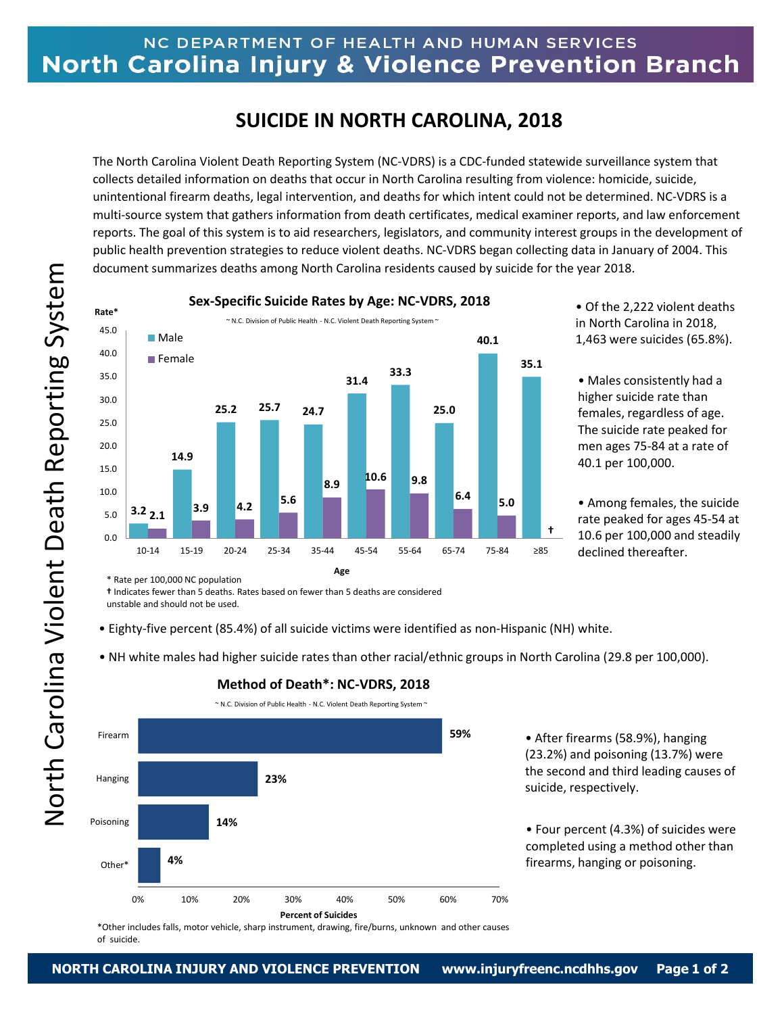## NC DEPARTMENT OF HEALTH AND HUMAN SERVICES North Carolina Injury & Violence Prevention Branch

# **SUICIDE IN NORTH CAROLINA, 2018**

The North Carolina Violent Death Reporting System (NC-VDRS) is a CDC-funded statewide surveillance system that collects detailed information on deaths that occur in North Carolina resulting from violence: homicide, suicide, unintentional firearm deaths, legal intervention, and deaths for which intent could not be determined. NC-VDRS is a multi-source system that gathers information from death certificates, medical examiner reports, and law enforcement reports. The goal of this system is to aid researchers, legislators, and community interest groups in the development of public health prevention strategies to reduce violent deaths. NC-VDRS began collecting data in January of 2004. This document summarizes deaths among North Carolina residents caused by suicide for the year 2018.



• Of the 2,222 violent deaths in North Carolina in 2018, 1,463 were suicides (65.8%).

• Males consistently had a higher suicide rate than females, regardless of age. The suicide rate peaked for men ages 75-84 at a rate of 40.1 per 100,000.

• Among females, the suicide rate peaked for ages 45-54 at 10.6 per 100,000 and steadily declined thereafter.

\* Rate per 100,000 NC population

**†** Indicates fewer than 5 deaths. Rates based on fewer than 5 deaths are considered

- Eighty-five percent (85.4%) of all suicide victims were identified as non-Hispanic (NH) white.
- NH white males had higher suicide rates than other racial/ethnic groups in North Carolina (29.8 per 100,000).



### **Method of Death\*: NC-VDRS, 2018**

• After firearms (58.9%), hanging (23.2%) and poisoning (13.7%) were the second and third leading causes of suicide, respectively.

• Four percent (4.3%) of suicides were completed using a method other than firearms, hanging or poisoning.

\*Other includes falls, motor vehicle, sharp instrument, drawing, fire/burns, unknown and other causes of suicide.

unstable and should not be used.